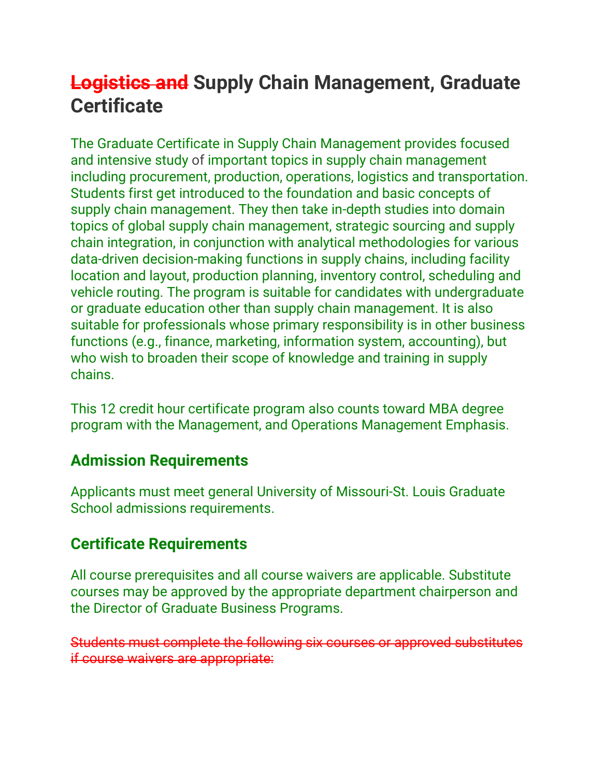## **Logistics and Supply Chain Management, Graduate Certificate**

The Graduate Certificate in Supply Chain Management provides focused and intensive study of important topics in supply chain management including procurement, production, operations, logistics and transportation. Students first get introduced to the foundation and basic concepts of supply chain management. They then take in-depth studies into domain topics of global supply chain management, strategic sourcing and supply chain integration, in conjunction with analytical methodologies for various data-driven decision-making functions in supply chains, including facility location and layout, production planning, inventory control, scheduling and vehicle routing. The program is suitable for candidates with undergraduate or graduate education other than supply chain management. It is also suitable for professionals whose primary responsibility is in other business functions (e.g., finance, marketing, information system, accounting), but who wish to broaden their scope of knowledge and training in supply chains.

This 12 credit hour certificate program also counts toward MBA degree program with the Management, and Operations Management Emphasis.

## **Admission Requirements**

Applicants must meet general [University of Missouri-St.](https://nextbulletin.umsl.edu/graduatestudy/#admissiontext) Louis Graduate [School admissions requirements.](https://nextbulletin.umsl.edu/graduatestudy/#admissiontext)

## **Certificate Requirements**

All course prerequisites and all course waivers are applicable. Substitute courses may be approved by the appropriate department chairperson and the Director of Graduate Business Programs.

Students must complete the following six courses or approved substitutes if course waivers are appropriate: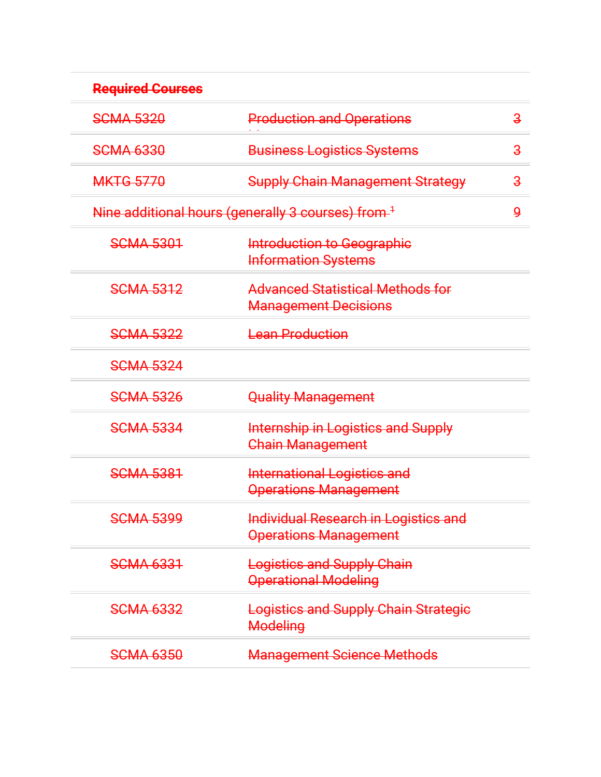| <b>Required Courses</b> |                                                                             |                |
|-------------------------|-----------------------------------------------------------------------------|----------------|
| <b>SCMA 5320</b>        | <b>Production and Operations</b>                                            | $\overline{3}$ |
| <b>SCMA 6330</b>        | <b>Business Logistics Systems</b>                                           | $\overline{3}$ |
| <b>MKTG 5770</b>        | <b>Supply Chain Management Strategy</b>                                     | $\mathbf{3}$   |
|                         | Nine additional hours (generally 3 courses) from <sup>1</sup>               | $\mathbf{Q}$   |
| <b>SCMA 5301</b>        | Introduction to Geographic<br><b>Information Systems</b>                    |                |
| <b>SCMA 5312</b>        | <b>Advanced Statistical Methods for</b><br><b>Management Decisions</b>      |                |
| <b>SCMA 5322</b>        | <b>Lean Production</b>                                                      |                |
| <b>SCMA 5324</b>        |                                                                             |                |
| <b>SCMA 5326</b>        | <b>Quality Management</b>                                                   |                |
| <b>SCMA 5334</b>        | <b>Internship in Logistics and Supply</b><br><b>Chain Management</b>        |                |
| <b>SCMA 5381</b>        | <b>International Logistics and</b><br><b>Operations Management</b>          |                |
| <b>SCMA 5399</b>        | <b>Individual Research in Logistics and</b><br><b>Operations Management</b> |                |
| <b>SCMA 6331</b>        | <b>Logistics and Supply Chain</b><br><b>Operational Modeling</b>            |                |
| <b>SCMA 6332</b>        | <b>Logistics and Supply Chain Strategic</b><br>Modeling                     |                |
| <b>SCMA 6350</b>        | <b>Management Science Methods</b>                                           |                |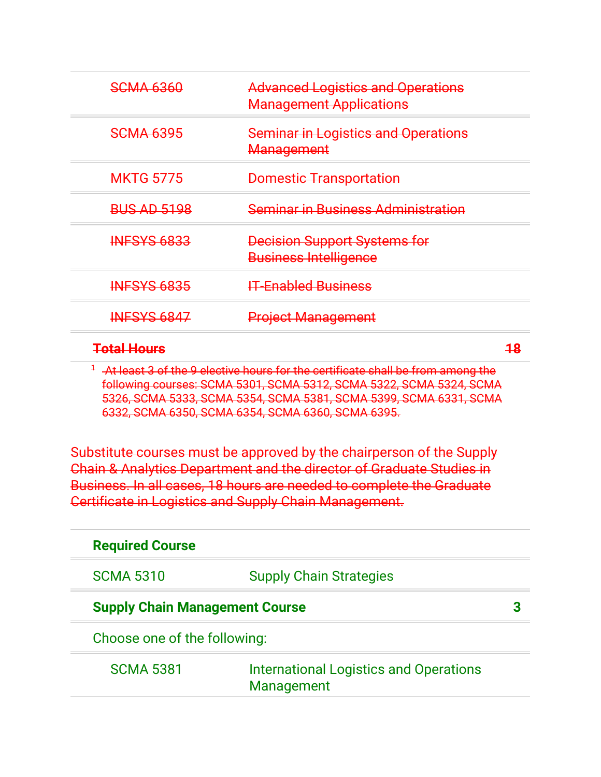| <del>SCMA 6360</del> | <b>Advanced Logistics and Operations</b><br><b>Management Applications</b> |    |
|----------------------|----------------------------------------------------------------------------|----|
| <b>SCMA 6395</b>     | <b>Seminar in Logistics and Operations</b><br>Management                   |    |
| <b>MKTG 5775</b>     | <b>Domestic Transportation</b>                                             |    |
| <b>BUS AD 5198</b>   | <b>Seminar in Business Administration</b>                                  |    |
| <b>INFSYS 6833</b>   | <b>Decision Support Systems for</b><br><b>Business Intelligence</b>        |    |
| <b>INFSYS 6835</b>   | <b>IT-Enabled Business</b>                                                 |    |
| <b>INFSYS 6847</b>   | <b>Project Management</b>                                                  |    |
| <b>Total Hours</b>   |                                                                            | 18 |

<sup>1</sup> At least 3 of the 9 elective hours for the certificate shall be from among the following courses: SCMA 5301, SCMA 5312, SCMA 5322, SCMA 5324, SCMA 5326, SCMA 5333, SCMA 5354, SCMA 5381, SCMA 5399, SCMA 6331, SCMA 6332, SCMA 6350, SCMA 6354, SCMA 6360, SCMA 6395.

Substitute courses must be approved by the chairperson of the Supply Chain & Analytics Department and the director of Graduate Studies in Business. In all cases, 18 hours are needed to complete the Graduate Certificate in Logistics and Supply Chain Management.

|                                       | <b>Required Course</b> |                                                             |  |
|---------------------------------------|------------------------|-------------------------------------------------------------|--|
|                                       | <b>SCMA 5310</b>       | <b>Supply Chain Strategies</b>                              |  |
| <b>Supply Chain Management Course</b> |                        |                                                             |  |
| Choose one of the following:          |                        |                                                             |  |
|                                       | <b>SCMA 5381</b>       | <b>International Logistics and Operations</b><br>Management |  |
|                                       |                        |                                                             |  |